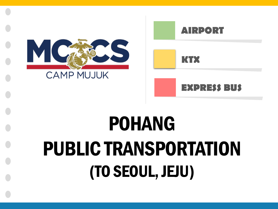# POHANG PUBLIC TRANSPORTATION (TO SEOUL, JEJU)



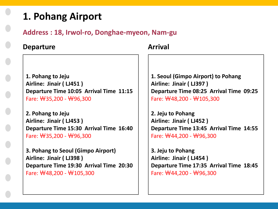## **1. Pohang Airport**

**Address : 18, Irwol-ro, Donghae-myeon, Nam-gu**

#### **Departure**

**1. Pohang to Jeju Airline: Jinair ( LJ451 ) Departure Time 10:05 Arrival Time 11:15** Fare: ₩35,200 - ₩96,300

**2. Pohang to Jeju Airline: Jinair ( LJ453 ) Departure Time 15:30 Arrival Time 16:40** Fare: ₩35,200 - ₩96,300

**3. Pohang to Seoul (Gimpo Airport) Airline: Jinair ( LJ398 ) Departure Time 19:30 Arrival Time 20:30** Fare: ₩48,200 - ₩105,300

**Arrival**

**1. Seoul (Gimpo Airport) to Pohang Airline: Jinair ( LJ397 ) Departure Time 08:25 Arrival Time 09:25** Fare: ₩48,200 - ₩105,300

**2. Jeju to Pohang Airline: Jinair ( LJ452 ) Departure Time 13:45 Arrival Time 14:55** Fare: ₩44,200 - ₩96,300

**3. Jeju to Pohang Airline: Jinair ( LJ454 ) Departure Time 17:35 Arrival Time 18:45** Fare: ₩44,200 - ₩96,300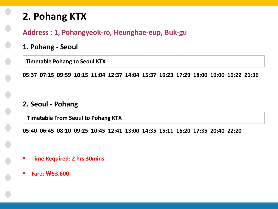# **2. Pohang KTX**

#### **Address : 1, Pohangyeok-ro, Heunghae-eup, Buk-gu**

- **1. Pohang - Seoul**
	- **Timetable Pohang to Seoul KTX**

**05:37 07:15 09:59 10:15 11:04 12:37 14:04 15:37 16:23 17:29 18:00 19:00 19:22 21:36**

#### **2. Seoul - Pohang**

**Timetable From Seoul to Pohang KTX**

**05:40 06:45 08:10 09:25 10:45 12:41 13:00 14:35 15:11 16:20 17:35 20:40 22:20**

- **Time Required: 2 hrs 30mins**
- **Fare: ₩53.600**